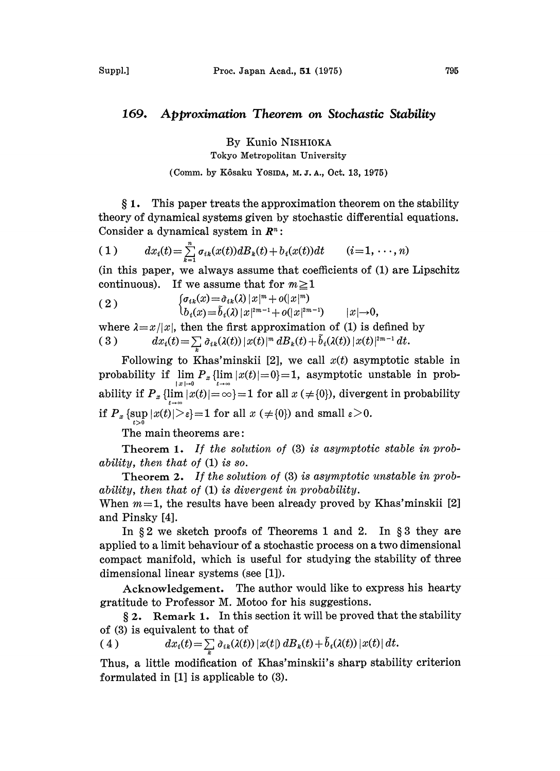## 169. Approximation Theorem on Stochastic Stability

By Kunio NISHIOKA

Tokyo Metropolitan University

(Comm. by Kôsaku YosiDA, M.J.A., Oct. 13, 1975)

1. This paper treats the approximation theorem on the stability theory of dynamical systems given by stochastic differential equations. Consider a dynamical system in  $\mathbb{R}^n$ :

(1) 
$$
dx_i(t) = \sum_{k=1}^n \sigma_{ik}(x(t))dB_k(t) + b_i(x(t))dt \qquad (i = 1, \dots, n)
$$

(in this paper, we always assume that coefficients of (1) are Lipschitz continuous). If we assume that for  $m \geq 1$ 

(2) 
$$
\begin{cases} \sigma_{ik}(x) = \tilde{\sigma}_{ik}(\lambda) |x|^m + o(|x|^m) \\ b_i(x) = \tilde{b}_i(\lambda) |x|^{2m-1} + o(|x|^{2m-1}) \qquad |x| \to 0, \end{cases}
$$
  
where  $\lambda = x/|x|$ , then the first approximation of (1) is defined by

( 3 )  $dx_i(t) = \sum_{k} \tilde{\sigma}_{ik}(\lambda(t)) |x(t)|^m dB_k(t) + \tilde{b}_i(\lambda(t)) |x(t)|^{2m-1} dt.$ 

Following to Khas'minskii [2], we call  $x(t)$  asymptotic stable in probability if  $\lim_{|x|\to 0} P_x \{\lim_{t\to\infty} |x(t)|=0\}=1$ , asymptotic unstable in probability if  $P_x \{\lim |x(t)| = \infty\} = 1$  for all  $x (\neq{0})$ , divergent in probability if  $P_x \{\sup_{t>0} |x(t)| > \epsilon\} = 1$  for all  $x \neq \{0\}$  and small  $\epsilon > 0$ .

The main theorems are:

Theorem 1. If the solution of (3) is asymptotic stable in probability, then that of (1) is so.

Theorem 2. If the solution of (3) is asymptotic unstable in probability, then that of (1) is divergent in probability.

When  $m=1$ , the results have been already proved by Khas'minskii [2] and Pinsky [4].

In  $\S 2$  we sketch proofs of Theorems 1 and 2. In  $\S 3$  they are applied to a limit behaviour of a stochastic process on a two dimensional compact manifold, which is useful for studying the stability of three dimensional linear systems (see [1]).

Acknowledgement. The author would like to express his hearty gratitude to Professor M. Motoo for his suggestions.

 $\S 2$ . Remark 1. In this section it will be proved that the stability of (3) is equivalent to that of

(4) 
$$
dx_i(t) = \sum \tilde{\sigma}_{ik}(\lambda(t)) |x(t)| dB_k(t) + \tilde{b}_i(\lambda(t)) |x(t)| dt.
$$

Thus, a little modification of Khas'minskii's sharp stability criterion formulated in [1] is applicable to (3).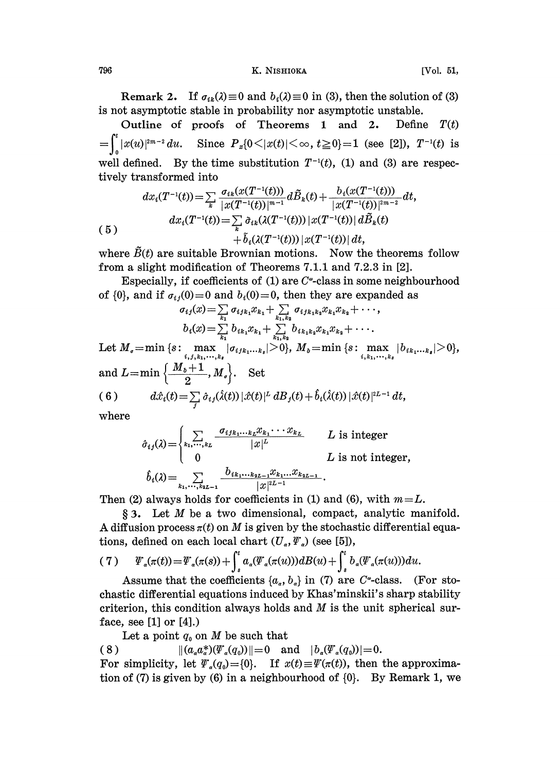## 796 K. NISHIOKA [Vol. 51,

Remark 2. If  $\sigma_{ik}(\lambda) \equiv 0$  and  $b_i(\lambda) \equiv 0$  in (3), then the solution of (3) is not asymptotic stable in probability nor asymptotic unstable.

Outline of proofs of Theorems 1 and 2. Define  $T(t)$  $=\int_{0}^{t} |x(u)|^{2m-2} du$ . Since  $P_{x}\{0 \leq |x(t)| \leq \infty, t \geq 0\}=1$  (see [2]),  $T^{-1}(t)$  is well defined. By the time substitution  $T^{-1}(t)$ , (1) and (3) are respectively transformed into

$$
dx_i(T^{-1}(t)) = \sum_{k} \frac{\sigma_{ik}(x(T^{-1}(t)))}{|x(T^{-1}(t))|^{m-1}} d\tilde{B}_k(t) + \frac{b_i(x(T^{-1}(t)))}{|x(T^{-1}(t))|^{2m-2}} dt,
$$
  
\n(5)  
\n
$$
dx_i(T^{-1}(t)) = \sum_{k} \tilde{\sigma}_{ik}(\lambda(T^{-1}(t))) |x(T^{-1}(t))| d\tilde{B}_k(t) + \tilde{b}_i(\lambda(T^{-1}(t))) |x(T^{-1}(t))| dt,
$$
  
\nwhere  $\tilde{B}(t)$  are suitable Brownian motions. Now the theorems follow

from a slight modification of Theorems 7.1.1 and 7.2.3 in [2].

Especially, if coefficients of  $(1)$  are  $C^*$ -class in some neighbourhood of {0}, and if  $\sigma_{ij}(0) = 0$  and  $b_i(0) = 0$ , then they are expanded as  $\sigma_{ij}(x) = \sum_{k_1} \sigma_{ijk_1} x_{k_1} + \sum_{k_1,k_2} \sigma_{ijk_1k_2} x_{k_1} x_{k_2} + \cdots$ ,

$$
\sigma_{ij}(x) = \sum_{k_1} \sigma_{ijk_1} x_{k_1} + \sum_{k_1,k_2} \sigma_{ijk_1k_2} x_{k_1} x_{k_2} + \cdots,
$$
  
\n
$$
b_i(x) = \sum_{k_1} b_{ik_1} x_{k_1} + \sum_{k_1,k_2} b_{ik_1k_2} x_{k_1} x_{k_2} + \cdots.
$$

(6) or (v), and if  $\begin{aligned} \sigma_{ij}(0) = 0 \text{ and } \sigma_i(0) = 0, \text{ then they are expanded} \ \sigma_{ij}(x) = \sum_{k_1} \sigma_{ijk_1k_2k_1} + \sum_{k_1,k_2} \sigma_{ijk_1k_2k_2k_1}x_{k_2} + \cdots, \ b_i(x) = \sum_{k_1} b_{ik_1k_2k_1} + \sum_{k_1,k_2} b_{ik_1k_2}x_{k_1}x_{k_2} + \cdots. \ \text{Let } M_e = \min \{s: \max_{i,j,k_1,\dots,k_s} |\sigma_{ijk_1\d$  $d\hat{x}_i(t) = \sum\limits_j \hat{\sigma}_{ij}(\hat{\lambda}(t))\,|\hat{x}(t)|^L\,dB_j(t) + b_i(\hat{\lambda}(t))\,|\hat{x}(t)|^{2L-1}$ 

where

$$
\hat{\sigma}_{ij}(\lambda) = \begin{cases}\n\sum_{k_1, \dots, k_L} \frac{\sigma_{ijk_1 \dots k_L} x_{k_1} \dots x_{k_L}}{|x|^L} & L \text{ is integer} \\
0 & L \text{ is not integer,} \\
\hat{b}_i(\lambda) = \sum_{k_1, \dots, k_{2L-1}} \frac{b_{ik_1 \dots k_{2L-1}} x_{k_1 \dots k_{2L-1}}}{|x|^{2L-1}}.\n\end{cases}
$$

Then (2) always holds for coefficients in (1) and (6), with  $m = L$ .

3. Let M be <sup>a</sup> two dimensional, compact, analytic manifold. A diffusion process  $\pi(t)$  on M is given by the stochastic differential equations, defined on each local chart  $(U_*, \Psi_*)$  (see [5]),

(7) ((t))=(())+ ((()))gB() + b((()))g.

Assume that the coefficients  $\{a_n, b_n\}$  in (7) are C<sup>\*</sup>-class. (For stochastic differential equations induced by Khas'minskii's sharp stability criterion, this condition always holds and  $M$  is the unit spherical surface, see  $[1]$  or  $[4]$ .)

Let a point  $q_0$  on M be such that

(8)  $||(a<sub>a</sub>a<sup>*</sup><sub>a</sub>)(\Psi<sub>a</sub>(q<sub>0</sub>))||=0$  and  $|b<sub>a</sub>(\Psi<sub>a</sub>(q<sub>0</sub>))|=0.$ 

For simplicity, let  $\Psi_a(q_0) = \{0\}$ . If  $x(t) \equiv \Psi(\pi(t))$ , then the approximation of (7) is given by (6) in a neighbourhood of  $\{0\}$ . By Remark 1, we